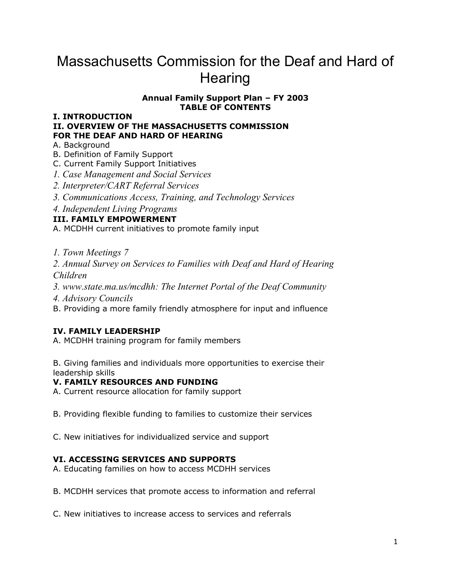# Massachusetts Commission for the Deaf and Hard of **Hearing**

## **Annual Family Support Plan – FY 2003 TABLE OF CONTENTS**

#### **I. INTRODUCTION II. OVERVIEW OF THE MASSACHUSETTS COMMISSION FOR THE DEAF AND HARD OF HEARING**

# A. Background

- B. Definition of Family Support
- C. Current Family Support Initiatives
- *1. Case Management and Social Services*
- *2. Interpreter/CART Referral Services*
- *3. Communications Access, Training, and Technology Services*
- *4. Independent Living Programs*

# **III. FAMILY EMPOWERMENT**

A. MCDHH current initiatives to promote family input

*1. Town Meetings 7*

*2. Annual Survey on Services to Families with Deaf and Hard of Hearing Children*

*3. www.state.ma.us/mcdhh: The Internet Portal of the Deaf Community*

*4. Advisory Councils*

B. Providing a more family friendly atmosphere for input and influence

# **IV. FAMILY LEADERSHIP**

A. MCDHH training program for family members

B. Giving families and individuals more opportunities to exercise their leadership skills

## **V. FAMILY RESOURCES AND FUNDING**

A. Current resource allocation for family support

B. Providing flexible funding to families to customize their services

C. New initiatives for individualized service and support

## **VI. ACCESSING SERVICES AND SUPPORTS**

A. Educating families on how to access MCDHH services

B. MCDHH services that promote access to information and referral

C. New initiatives to increase access to services and referrals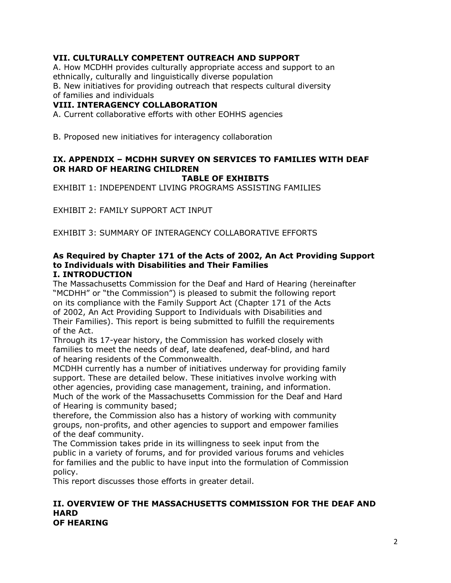# **VII. CULTURALLY COMPETENT OUTREACH AND SUPPORT**

A. How MCDHH provides culturally appropriate access and support to an ethnically, culturally and linguistically diverse population

B. New initiatives for providing outreach that respects cultural diversity

# of families and individuals

## **VIII. INTERAGENCY COLLABORATION**

A. Current collaborative efforts with other EOHHS agencies

B. Proposed new initiatives for interagency collaboration

# **IX. APPENDIX – MCDHH SURVEY ON SERVICES TO FAMILIES WITH DEAF OR HARD OF HEARING CHILDREN**

**TABLE OF EXHIBITS**

EXHIBIT 1: INDEPENDENT LIVING PROGRAMS ASSISTING FAMILIES

EXHIBIT 2: FAMILY SUPPORT ACT INPUT

EXHIBIT 3: SUMMARY OF INTERAGENCY COLLABORATIVE EFFORTS

#### **As Required by Chapter 171 of the Acts of 2002, An Act Providing Support to Individuals with Disabilities and Their Families I. INTRODUCTION**

The Massachusetts Commission for the Deaf and Hard of Hearing (hereinafter "MCDHH" or "the Commission") is pleased to submit the following report on its compliance with the Family Support Act (Chapter 171 of the Acts of 2002, An Act Providing Support to Individuals with Disabilities and Their Families). This report is being submitted to fulfill the requirements of the Act.

Through its 17-year history, the Commission has worked closely with families to meet the needs of deaf, late deafened, deaf-blind, and hard of hearing residents of the Commonwealth.

MCDHH currently has a number of initiatives underway for providing family support. These are detailed below. These initiatives involve working with other agencies, providing case management, training, and information. Much of the work of the Massachusetts Commission for the Deaf and Hard of Hearing is community based;

therefore, the Commission also has a history of working with community groups, non-profits, and other agencies to support and empower families of the deaf community.

The Commission takes pride in its willingness to seek input from the public in a variety of forums, and for provided various forums and vehicles for families and the public to have input into the formulation of Commission policy.

This report discusses those efforts in greater detail.

#### **II. OVERVIEW OF THE MASSACHUSETTS COMMISSION FOR THE DEAF AND HARD OF HEARING**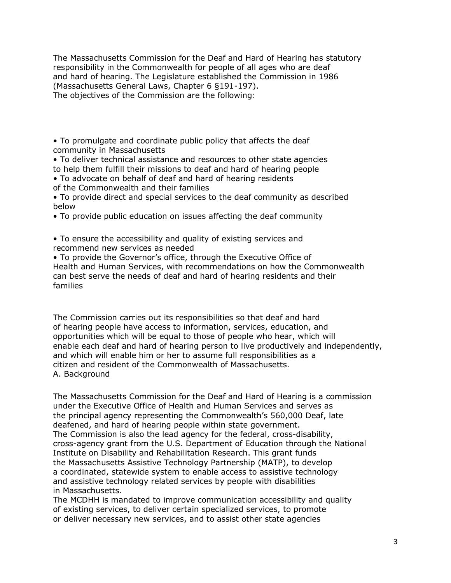The Massachusetts Commission for the Deaf and Hard of Hearing has statutory responsibility in the Commonwealth for people of all ages who are deaf and hard of hearing. The Legislature established the Commission in 1986 (Massachusetts General Laws, Chapter 6 §191-197). The objectives of the Commission are the following:

• To promulgate and coordinate public policy that affects the deaf community in Massachusetts

• To deliver technical assistance and resources to other state agencies to help them fulfill their missions to deaf and hard of hearing people

*•* To advocate on behalf of deaf and hard of hearing residents of the Commonwealth and their families

• To provide direct and special services to the deaf community as described below

• To provide public education on issues affecting the deaf community

• To ensure the accessibility and quality of existing services and recommend new services as needed

• To provide the Governor's office, through the Executive Office of Health and Human Services, with recommendations on how the Commonwealth can best serve the needs of deaf and hard of hearing residents and their families

The Commission carries out its responsibilities so that deaf and hard of hearing people have access to information, services, education, and opportunities which will be equal to those of people who hear, which will enable each deaf and hard of hearing person to live productively and independently, and which will enable him or her to assume full responsibilities as a citizen and resident of the Commonwealth of Massachusetts. A. Background

The Massachusetts Commission for the Deaf and Hard of Hearing is a commission under the Executive Office of Health and Human Services and serves as the principal agency representing the Commonwealth's 560,000 Deaf, late deafened, and hard of hearing people within state government. The Commission is also the lead agency for the federal, cross-disability, cross-agency grant from the U.S. Department of Education through the National Institute on Disability and Rehabilitation Research. This grant funds the Massachusetts Assistive Technology Partnership (MATP), to develop a coordinated, statewide system to enable access to assistive technology and assistive technology related services by people with disabilities in Massachusetts.

The MCDHH is mandated to improve communication accessibility and quality of existing services, to deliver certain specialized services, to promote or deliver necessary new services, and to assist other state agencies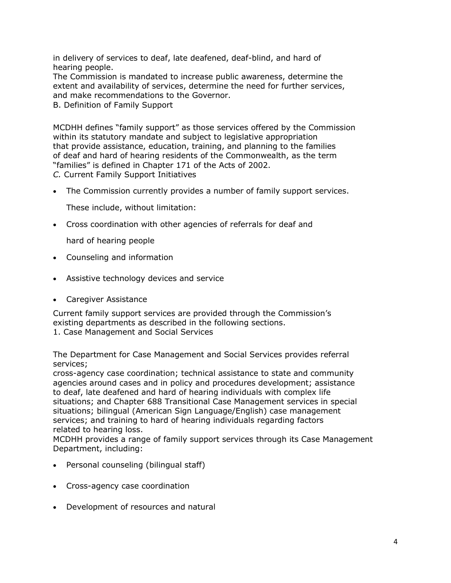in delivery of services to deaf, late deafened, deaf-blind, and hard of hearing people.

The Commission is mandated to increase public awareness, determine the extent and availability of services, determine the need for further services, and make recommendations to the Governor.

B. Definition of Family Support

MCDHH defines "family support" as those services offered by the Commission within its statutory mandate and subject to legislative appropriation that provide assistance, education, training, and planning to the families of deaf and hard of hearing residents of the Commonwealth, as the term "families" is defined in Chapter 171 of the Acts of 2002.

*C.* Current Family Support Initiatives

The Commission currently provides a number of family support services.

These include, without limitation:

Cross coordination with other agencies of referrals for deaf and

hard of hearing people

- Counseling and information
- Assistive technology devices and service
- Caregiver Assistance

Current family support services are provided through the Commission's existing departments as described in the following sections.

1. Case Management and Social Services

The Department for Case Management and Social Services provides referral services;

cross-agency case coordination; technical assistance to state and community agencies around cases and in policy and procedures development; assistance to deaf, late deafened and hard of hearing individuals with complex life situations; and Chapter 688 Transitional Case Management services in special situations; bilingual (American Sign Language/English) case management services; and training to hard of hearing individuals regarding factors related to hearing loss.

MCDHH provides a range of family support services through its Case Management Department, including:

- Personal counseling (bilingual staff)
- Cross-agency case coordination
- Development of resources and natural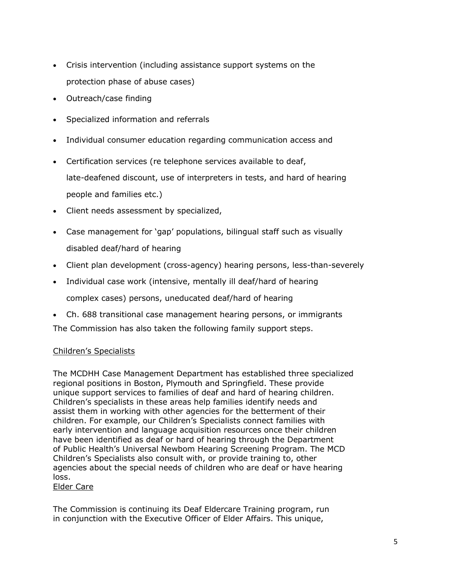- Crisis intervention (including assistance support systems on the protection phase of abuse cases)
- Outreach/case finding
- Specialized information and referrals
- Individual consumer education regarding communication access and
- Certification services (re telephone services available to deaf, late-deafened discount, use of interpreters in tests, and hard of hearing people and families etc.)
- Client needs assessment by specialized,
- Case management for 'gap' populations, bilingual staff such as visually disabled deaf/hard of hearing
- Client plan development (cross-agency) hearing persons, less-than-severely
- Individual case work (intensive, mentally ill deaf/hard of hearing complex cases) persons, uneducated deaf/hard of hearing
- Ch. 688 transitional case management hearing persons, or immigrants

The Commission has also taken the following family support steps.

## Children's Specialists

The MCDHH Case Management Department has established three specialized regional positions in Boston, Plymouth and Springfield. These provide unique support services to families of deaf and hard of hearing children. Children's specialists in these areas help families identify needs and assist them in working with other agencies for the betterment of their children. For example, our Children's Specialists connect families with early intervention and language acquisition resources once their children have been identified as deaf or hard of hearing through the Department of Public Health's Universal Newbom Hearing Screening Program. The MCD Children's Specialists also consult with, or provide training to, other agencies about the special needs of children who are deaf or have hearing loss.

## Elder Care

The Commission is continuing its Deaf Eldercare Training program, run in conjunction with the Executive Officer of Elder Affairs. This unique,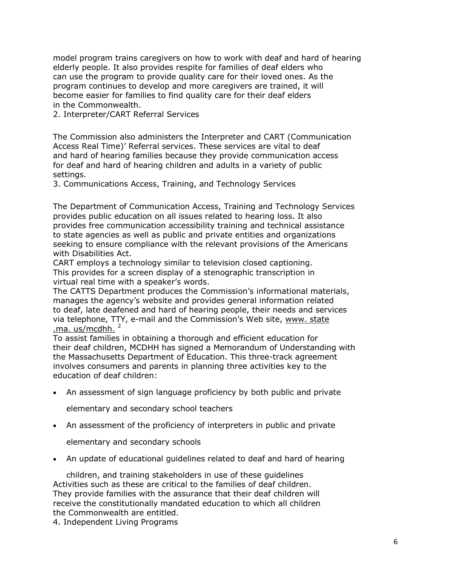model program trains caregivers on how to work with deaf and hard of hearing elderly people. It also provides respite for families of deaf elders who can use the program to provide quality care for their loved ones. As the program continues to develop and more caregivers are trained, it will become easier for families to find quality care for their deaf elders in the Commonwealth.

2. Interpreter/CART Referral Services

The Commission also administers the Interpreter and CART (Communication Access Real Time)' Referral services. These services are vital to deaf and hard of hearing families because they provide communication access for deaf and hard of hearing children and adults in a variety of public settings.

3. Communications Access, Training, and Technology Services

The Department of Communication Access, Training and Technology Services provides public education on all issues related to hearing loss. It also provides free communication accessibility training and technical assistance to state agencies as well as public and private entities and organizations seeking to ensure compliance with the relevant provisions of the Americans with Disabilities Act.

CART employs a technology similar to television closed captioning. This provides for a screen display of a stenographic transcription in virtual real time with a speaker's words.

The CATTS Department produces the Commission's informational materials, manages the agency's website and provides general information related to deaf, late deafened and hard of hearing people, their needs and services via telephone, TTY, e-mail and the Commission's Web site, www. state .ma. us/mcdhh. $<sup>2</sup>$ </sup>

To assist families in obtaining a thorough and efficient education for their deaf children, MCDHH has signed a Memorandum of Understanding with the Massachusetts Department of Education. This three-track agreement involves consumers and parents in planning three activities key to the education of deaf children:

An assessment of sign language proficiency by both public and private

elementary and secondary school teachers

An assessment of the proficiency of interpreters in public and private

elementary and secondary schools

An update of educational guidelines related to deaf and hard of hearing

children, and training stakeholders in use of these guidelines Activities such as these are critical to the families of deaf children. They provide families with the assurance that their deaf children will receive the constitutionally mandated education to which all children the Commonwealth are entitled.

4. Independent Living Programs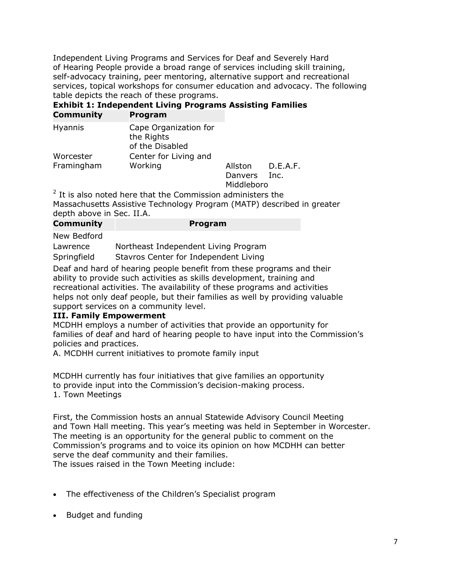Independent Living Programs and Services for Deaf and Severely Hard of Hearing People provide a broad range of services including skill training, self-advocacy training, peer mentoring, alternative support and recreational services, topical workshops for consumer education and advocacy. The following table depicts the reach of these programs.

#### **Exhibit 1: Independent Living Programs Assisting Families Community Program**

| ------------- |                                                        |            |          |
|---------------|--------------------------------------------------------|------------|----------|
| Hyannis       | Cape Organization for<br>the Rights<br>of the Disabled |            |          |
| Worcester     | Center for Living and                                  |            |          |
| Framingham    | Working                                                | Allston    | D.E.A.F. |
|               |                                                        | Danvers    | Inc.     |
|               |                                                        | Middleboro |          |

 $2$  It is also noted here that the Commission administers the Massachusetts Assistive Technology Program (MATP) described in greater depth above in Sec. II.A.

**Program** 

New Bedford

| Lawrence    | Northeast Independent Living Program  |
|-------------|---------------------------------------|
| Springfield | Stavros Center for Independent Living |

Deaf and hard of hearing people benefit from these programs and their ability to provide such activities as skills development, training and recreational activities. The availability of these programs and activities helps not only deaf people, but their families as well by providing valuable support services on a community level.

## **III. Family Empowerment**

MCDHH employs a number of activities that provide an opportunity for families of deaf and hard of hearing people to have input into the Commission's policies and practices.

A. MCDHH current initiatives to promote family input

MCDHH currently has four initiatives that give families an opportunity to provide input into the Commission's decision-making process. 1. Town Meetings

First, the Commission hosts an annual Statewide Advisory Council Meeting and Town Hall meeting. This year's meeting was held in September in Worcester. The meeting is an opportunity for the general public to comment on the Commission's programs and to voice its opinion on how MCDHH can better serve the deaf community and their families.

The issues raised in the Town Meeting include:

- The effectiveness of the Children's Specialist program
- Budget and funding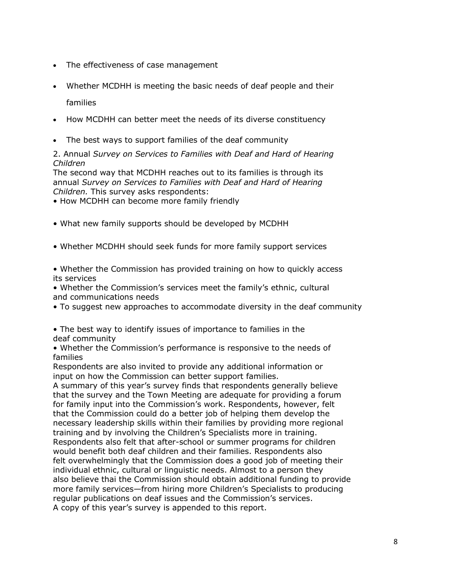- The effectiveness of case management
- Whether MCDHH is meeting the basic needs of deaf people and their

families

- How MCDHH can better meet the needs of its diverse constituency
- The best ways to support families of the deaf community

#### 2. Annual *Survey on Services to Families with Deaf and Hard of Hearing Children*

The second way that MCDHH reaches out to its families is through its annual *Survey on Services to Families with Deaf and Hard of Hearing Children.* This survey asks respondents:

• How MCDHH can become more family friendly

- What new family supports should be developed by MCDHH
- Whether MCDHH should seek funds for more family support services
- Whether the Commission has provided training on how to quickly access its services

• Whether the Commission's services meet the family's ethnic, cultural and communications needs

- To suggest new approaches to accommodate diversity in the deaf community
- The best way to identify issues of importance to families in the deaf community
- Whether the Commission's performance is responsive to the needs of families

Respondents are also invited to provide any additional information or input on how the Commission can better support families.

A summary of this year's survey finds that respondents generally believe that the survey and the Town Meeting are adequate for providing a forum for family input into the Commission's work. Respondents, however, felt that the Commission could do a better job of helping them develop the necessary leadership skills within their families by providing more regional training and by involving the Children's Specialists more in training. Respondents also felt that after-school or summer programs for children would benefit both deaf children and their families. Respondents also felt overwhelmingly that the Commission does a good job of meeting their individual ethnic, cultural or linguistic needs. Almost to a person they also believe thai the Commission should obtain additional funding to provide more family services—from hiring more Children's Specialists to producing regular publications on deaf issues and the Commission's services. A copy of this year's survey is appended to this report.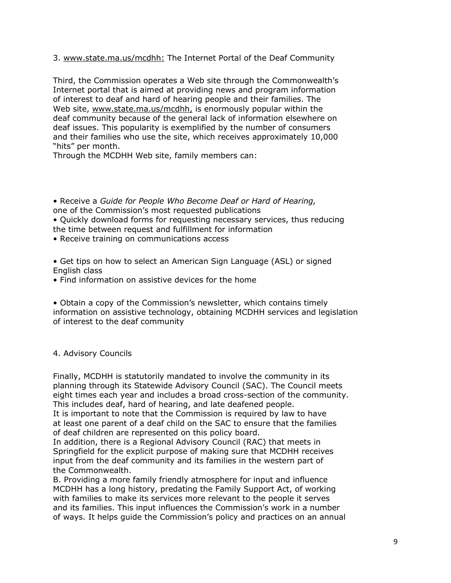3. www.state.ma.us/mcdhh: The Internet Portal of the Deaf Community

Third, the Commission operates a Web site through the Commonwealth's Internet portal that is aimed at providing news and program information of interest to deaf and hard of hearing people and their families. The Web site, www.state.ma.us/mcdhh, is enormously popular within the deaf community because of the general lack of information elsewhere on deaf issues. This popularity is exemplified by the number of consumers and their families who use the site, which receives approximately 10,000 "hits" per month.

Through the MCDHH Web site, family members can:

• Receive a *Guide for People Who Become Deaf or Hard of Hearing,* one of the Commission's most requested publications • Quickly download forms for requesting necessary services, thus reducing the time between request and fulfillment for information • Receive training on communications access

• Get tips on how to select an American Sign Language (ASL) or signed English class

• Find information on assistive devices for the home

• Obtain a copy of the Commission's newsletter, which contains timely information on assistive technology, obtaining MCDHH services and legislation of interest to the deaf community

## 4. Advisory Councils

Finally, MCDHH is statutorily mandated to involve the community in its planning through its Statewide Advisory Council (SAC). The Council meets eight times each year and includes a broad cross-section of the community. This includes deaf, hard of hearing, and late deafened people. It is important to note that the Commission is required by law to have at least one parent of a deaf child on the SAC to ensure that the families

of deaf children are represented on this policy board.

In addition, there is a Regional Advisory Council (RAC) that meets in Springfield for the explicit purpose of making sure that MCDHH receives input from the deaf community and its families in the western part of the Commonwealth.

B. Providing a more family friendly atmosphere for input and influence MCDHH has a long history, predating the Family Support Act, of working with families to make its services more relevant to the people it serves and its families. This input influences the Commission's work in a number of ways. It helps guide the Commission's policy and practices on an annual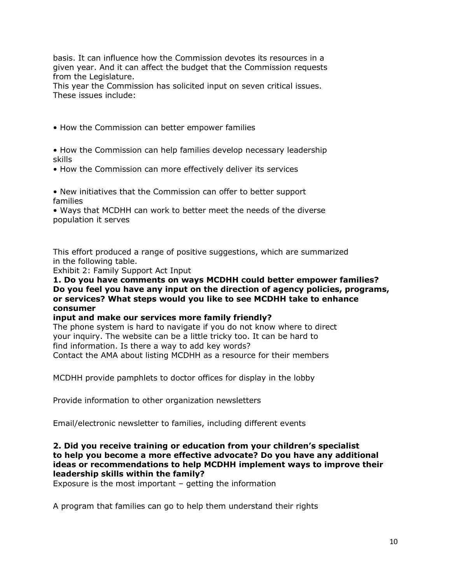basis. It can influence how the Commission devotes its resources in a given year. And it can affect the budget that the Commission requests from the Legislature.

This year the Commission has solicited input on seven critical issues. These issues include:

• How the Commission can better empower families

- How the Commission can help families develop necessary leadership skills
- How the Commission can more effectively deliver its services

• New initiatives that the Commission can offer to better support families

• Ways that MCDHH can work to better meet the needs of the diverse population it serves

This effort produced a range of positive suggestions, which are summarized in the following table.

Exhibit 2: Family Support Act Input

**1. Do you have comments on ways MCDHH could better empower families? Do you feel you have any input on the direction of agency policies, programs, or services? What steps would you like to see MCDHH take to enhance consumer**

## **input and make our services more family friendly?**

The phone system is hard to navigate if you do not know where to direct your inquiry. The website can be a little tricky too. It can be hard to find information. Is there a way to add key words? Contact the AMA about listing MCDHH as a resource for their members

MCDHH provide pamphlets to doctor offices for display in the lobby

Provide information to other organization newsletters

Email/electronic newsletter to families, including different events

## **2. Did you receive training or education from your children's specialist to help you become a more effective advocate? Do you have any additional ideas or recommendations to help MCDHH implement ways to improve their leadership skills within the family?**

Exposure is the most important – getting the information

A program that families can go to help them understand their rights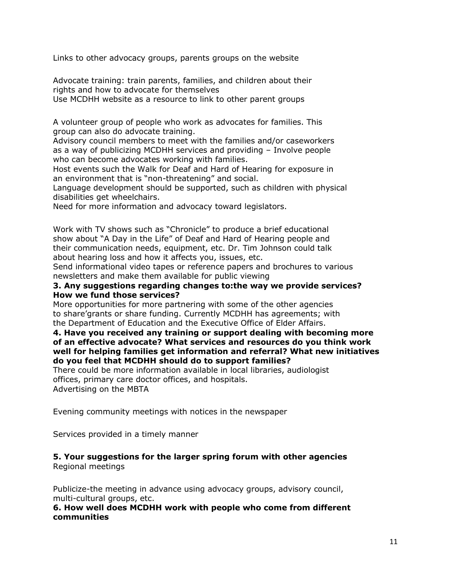Links to other advocacy groups, parents groups on the website

Advocate training: train parents, families, and children about their rights and how to advocate for themselves

Use MCDHH website as a resource to link to other parent groups

A volunteer group of people who work as advocates for families. This group can also do advocate training.

Advisory council members to meet with the families and/or caseworkers as a way of publicizing MCDHH services and providing – Involve people who can become advocates working with families.

Host events such the Walk for Deaf and Hard of Hearing for exposure in an environment that is "non-threatening" and social.

Language development should be supported, such as children with physical disabilities get wheelchairs.

Need for more information and advocacy toward legislators.

Work with TV shows such as "Chronicle" to produce a brief educational show about "A Day in the Life" of Deaf and Hard of Hearing people and their communication needs, equipment, etc. Dr. Tim Johnson could talk about hearing loss and how it affects you, issues, etc.

Send informational video tapes or reference papers and brochures to various newsletters and make them available for public viewing

#### **3. Any suggestions regarding changes to:the way we provide services? How we fund those services?**

More opportunities for more partnering with some of the other agencies to share'grants or share funding. Currently MCDHH has agreements; with the Department of Education and the Executive Office of Elder Affairs.

#### **4. Have you received any training or support dealing with becoming more of an effective advocate? What services and resources do you think work well for helping families get information and referral? What new initiatives do you feel that MCDHH should do to support families?**

There could be more information available in local libraries, audiologist offices, primary care doctor offices, and hospitals. Advertising on the MBTA

Evening community meetings with notices in the newspaper

Services provided in a timely manner

## **5. Your suggestions for the larger spring forum with other agencies** Regional meetings

Publicize-the meeting in advance using advocacy groups, advisory council, multi-cultural groups, etc.

**6. How well does MCDHH work with people who come from different communities**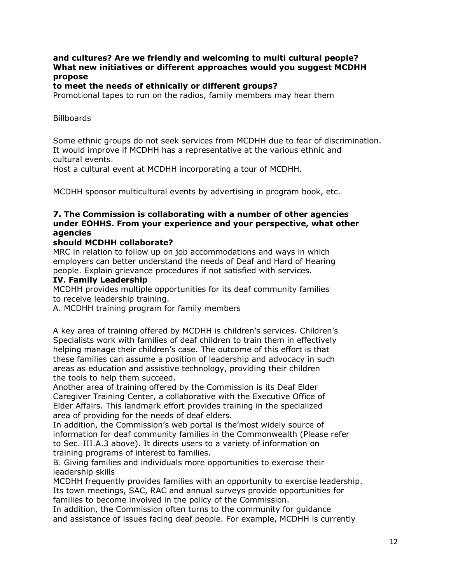## **and cultures? Are we friendly and welcoming to multi cultural people? What new initiatives or different approaches would you suggest MCDHH propose**

#### **to meet the needs of ethnically or different groups?**

Promotional tapes to run on the radios, family members may hear them

**Billboards** 

Some ethnic groups do not seek services from MCDHH due to fear of discrimination. It would improve if MCDHH has a representative at the various ethnic and cultural events.

Host a cultural event at MCDHH incorporating a tour of MCDHH.

MCDHH sponsor multicultural events by advertising in program book, etc.

## **7. The Commission is collaborating with a number of other agencies under EOHHS. From your experience and your perspective, what other agencies**

#### **should MCDHH collaborate?**

MRC in relation to follow up on job accommodations and ways in which employers can better understand the needs of Deaf and Hard of Hearing people. Explain grievance procedures if not satisfied with services.

#### **IV. Family Leadership**

MCDHH provides multiple opportunities for its deaf community families to receive leadership training.

A. MCDHH training program for family members

A key area of training offered by MCDHH is children's services. Children's Specialists work with families of deaf children to train them in effectively helping manage their children's case. The outcome of this effort is that these families can assume a position of leadership and advocacy in such areas as education and assistive technology, providing their children the tools to help them succeed.

Another area of training offered by the Commission is its Deaf Elder Caregiver Training Center, a collaborative with the Executive Office of Elder Affairs. This landmark effort provides training in the specialized area of providing for the needs of deaf elders.

In addition, the Commission's web portal is the'most widely source of information for deaf community families in the Commonwealth (Please refer to Sec. III.A.3 above). It directs users to a variety of information on training programs of interest to families.

B. Giving families and individuals more opportunities to exercise their leadership skills

MCDHH frequently provides families with an opportunity to exercise leadership. Its town meetings, SAC, RAC and annual surveys provide opportunities for families to become involved in the policy of the Commission.

In addition, the Commission often turns to the community for guidance and assistance of issues facing deaf people. For example, MCDHH is currently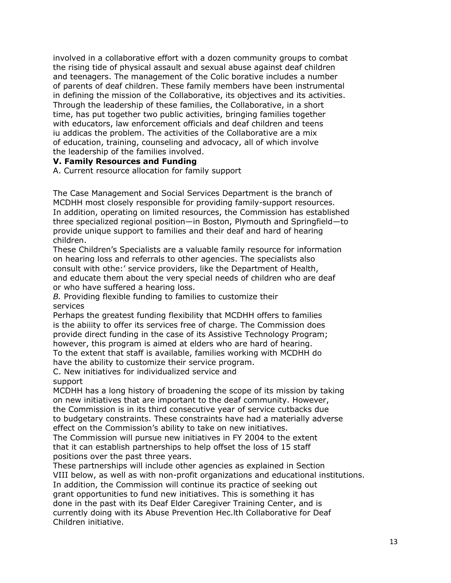involved in a collaborative effort with a dozen community groups to combat the rising tide of physical assault and sexual abuse against deaf children and teenagers. The management of the Colic borative includes a number of parents of deaf children. These family members have been instrumental in defining the mission of the Collaborative, its objectives and its activities. Through the leadership of these families, the Collaborative, in a short time, has put together two public activities, bringing families together with educators, law enforcement officials and deaf children and teens iu addicas the problem. The activities of the Collaborative are a mix of education, training, counseling and advocacy, all of which involve the leadership of the families involved.

#### **V. Family Resources and Funding**

A. Current resource allocation for family support

The Case Management and Social Services Department is the branch of MCDHH most closely responsible for providing family-support resources. In addition, operating on limited resources, the Commission has established three specialized regional position—in Boston, Plymouth and Springfield—to provide unique support to families and their deaf and hard of hearing children.

These Children's Specialists are a valuable family resource for information on hearing loss and referrals to other agencies. The specialists also consult with othe:' service providers, like the Department of Health, and educate them about the very special needs of children who are deaf or who have suffered a hearing loss.

*B.* Providing flexible funding to families to customize their services

Perhaps the greatest funding flexibility that MCDHH offers to families is the abiiity to offer its services free of charge. The Commission does provide direct funding in the case of its Assistive Technology Program; however, this program is aimed at elders who are hard of hearing. To the extent that staff is available, families working with MCDHH do have the ability to customize their service program.

C. New initiatives for individualized service and support

MCDHH has a long history of broadening the scope of its mission by taking on new initiatives that are important to the deaf community. However, the Commission is in its third consecutive year of service cutbacks due to budgetary constraints. These constraints have had a materially adverse effect on the Commission's ability to take on new initiatives.

The Commission will pursue new initiatives in FY 2004 to the extent that it can establish partnerships to help offset the loss of 15 staff positions over the past three years.

These partnerships will include other agencies as explained in Section VIII below, as well as with non-profit organizations and educational institutions. In addition, the Commission will continue its practice of seeking out grant opportunities to fund new initiatives. This is something it has done in the past with its Deaf Elder Caregiver Training Center, and is currently doing with its Abuse Prevention Hec.lth Collaborative for Deaf Children initiative.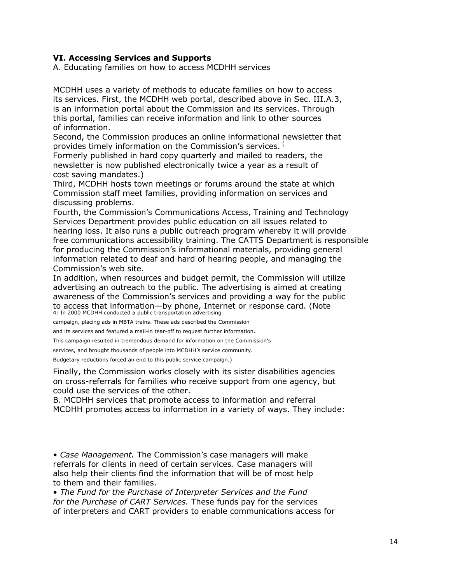## **VI. Accessing Services and Supports**

A. Educating families on how to access MCDHH services

MCDHH uses a variety of methods to educate families on how to access its services. First, the MCDHH web portal, described above in Sec. III.A.3, is an information portal about the Commission and its services. Through this portal, families can receive information and link to other sources of information.

Second, the Commission produces an online informational newsletter that provides timely information on the Commission's services. (

Formerly published in hard copy quarterly and mailed to readers, the newsletter is now published electronically twice a year as a result of cost saving mandates.)

Third, MCDHH hosts town meetings or forums around the state at which Commission staff meet families, providing information on services and discussing problems.

Fourth, the Commission's Communications Access, Training and Technology Services Department provides public education on all issues related to hearing loss. It also runs a public outreach program whereby it will provide free communications accessibility training. The CATTS Department is responsible for producing the Commission's informational materials, providing general information related to deaf and hard of hearing people, and managing the Commission's web site.

In addition, when resources and budget permit, the Commission will utilize advertising an outreach to the public. The advertising is aimed at creating awareness of the Commission's services and providing a way for the public to access that information—by phone, Internet or response card. (Note 4: In 2000 MCDHH conducted a public transportation advertising

campaign, placing ads in MBTA trains. These ads described the Commission

and its services and featured a mail-in tear-off to request further information.

This campaign resulted in tremendous demand for information on the Commission's

services, and brought thousands of people into MCDHH's service community.

Budgetary reductions forced an end to this public service campaign.)

Finally, the Commission works closely with its sister disabilities agencies on cross-referrals for families who receive support from one agency, but could use the services of the other.

B. MCDHH services that promote access to information and referral MCDHH promotes access to information in a variety of ways. They include:

• *Case Management.* The Commission's case managers will make referrals for clients in need of certain services. Case managers will also help their clients find the information that will be of most help to them and their families.

• *The Fund for the Purchase of Interpreter Services and the Fund for the Purchase of CART Services.* These funds pay for the services of interpreters and CART providers to enable communications access for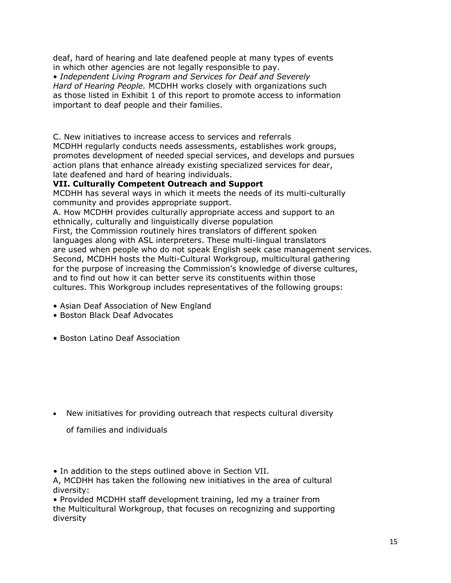deaf, hard of hearing and late deafened people at many types of events in which other agencies are not legally responsible to pay.

• *Independent Living Program and Services for Deaf and Severely Hard of Hearing People.* MCDHH works closely with organizations such as those listed in Exhibit 1 of this report to promote access to information important to deaf people and their families.

C. New initiatives to increase access to services and referrals MCDHH regularly conducts needs assessments, establishes work groups, promotes development of needed special services, and develops and pursues action plans that enhance already existing specialized services for dear, late deafened and hard of hearing individuals.

## **VII. Culturally Competent Outreach and Support**

MCDHH has several ways in which it meets the needs of its multi-culturally community and provides appropriate support.

A. How MCDHH provides culturally appropriate access and support to an ethnically, culturally and linguistically diverse population

First, the Commission routinely hires translators of different spoken languages along with ASL interpreters. These multi-lingual translators are used when people who do not speak English seek case management services. Second, MCDHH hosts the Multi-Cultural Workgroup, multicultural gathering for the purpose of increasing the Commission's knowledge of diverse cultures, and to find out how it can better serve its constituents within those cultures. This Workgroup includes representatives of the following groups:

- Asian Deaf Association of New England
- Boston Black Deaf Advocates
- Boston Latino Deaf Association

- New initiatives for providing outreach that respects cultural diversity
	- of families and individuals

*•* In addition to the steps outlined above in Section VII.

A, MCDHH has taken the following new initiatives in the area of cultural diversity:

• Provided MCDHH staff development training, led my a trainer from the Multicultural Workgroup, that focuses on recognizing and supporting diversity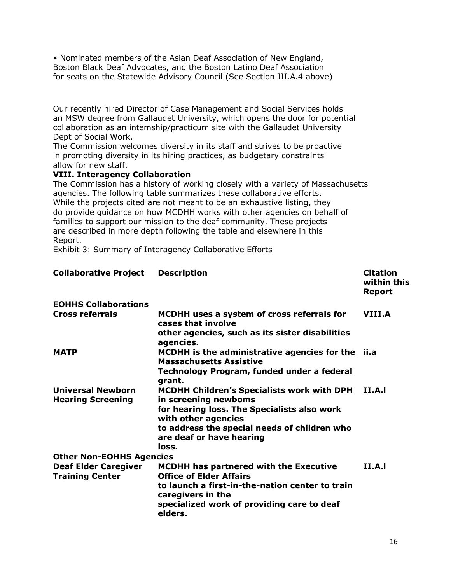• Nominated members of the Asian Deaf Association of New England, Boston Black Deaf Advocates, and the Boston Latino Deaf Association for seats on the Statewide Advisory Council (See Section III.A.4 above)

Our recently hired Director of Case Management and Social Services holds an MSW degree from Gallaudet University, which opens the door for potential collaboration as an intemship/practicum site with the Gallaudet University Dept of Social Work.

The Commission welcomes diversity in its staff and strives to be proactive in promoting diversity in its hiring practices, as budgetary constraints allow for new staff.

## **VIII. Interagency Collaboration**

The Commission has a history of working closely with a variety of Massachusetts agencies. The following table summarizes these collaborative efforts. While the projects cited are not meant to be an exhaustive listing, they do provide guidance on how MCDHH works with other agencies on behalf of families to support our mission to the deaf community. These projects are described in more depth following the table and elsewhere in this Report.

Exhibit 3: Summary of Interagency Collaborative Efforts

| <b>Collaborative Project</b>                         | <b>Description</b>                                                                  | <b>Citation</b><br>within this<br><b>Report</b> |
|------------------------------------------------------|-------------------------------------------------------------------------------------|-------------------------------------------------|
| <b>EOHHS Collaborations</b>                          |                                                                                     |                                                 |
| <b>Cross referrals</b>                               | MCDHH uses a system of cross referrals for<br>cases that involve                    | VIII.A                                          |
|                                                      | other agencies, such as its sister disabilities<br>agencies.                        |                                                 |
| <b>MATP</b>                                          | MCDHH is the administrative agencies for the ii.a<br><b>Massachusetts Assistive</b> |                                                 |
|                                                      | Technology Program, funded under a federal<br>grant.                                |                                                 |
| <b>Universal Newborn</b><br><b>Hearing Screening</b> | <b>MCDHH Children's Specialists work with DPH</b><br>in screening newboms           | II.A.I                                          |
|                                                      | for hearing loss. The Specialists also work<br>with other agencies                  |                                                 |
|                                                      | to address the special needs of children who<br>are deaf or have hearing            |                                                 |
|                                                      | loss.                                                                               |                                                 |
| <b>Other Non-EOHHS Agencies</b>                      |                                                                                     |                                                 |
| <b>Deaf Elder Caregiver</b>                          | MCDHH has partnered with the Executive                                              | II.A.                                           |
| <b>Training Center</b>                               | <b>Office of Elder Affairs</b>                                                      |                                                 |
|                                                      | to launch a first-in-the-nation center to train<br>caregivers in the                |                                                 |
|                                                      | specialized work of providing care to deaf<br>elders.                               |                                                 |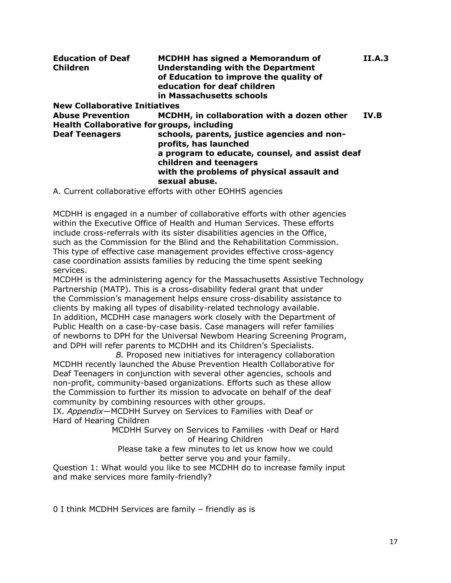| <b>Education of Deaf</b><br><b>Children</b> | MCDHH has signed a Memorandum of<br><b>Understanding with the Department</b><br>of Education to improve the quality of<br>education for deaf children<br>in Massachusetts schools | <b>II.A.3</b> |  |
|---------------------------------------------|-----------------------------------------------------------------------------------------------------------------------------------------------------------------------------------|---------------|--|
| <b>New Collaborative Initiatives</b>        |                                                                                                                                                                                   |               |  |
| <b>Abuse Prevention</b>                     | MCDHH, in collaboration with a dozen other                                                                                                                                        | IV.B          |  |
| <b>Deaf Teenagers</b>                       | schools, parents, justice agencies and non-                                                                                                                                       |               |  |
|                                             | a program to educate, counsel, and assist deaf                                                                                                                                    |               |  |
|                                             | with the problems of physical assault and<br>sexual abuse.                                                                                                                        |               |  |
|                                             | <b>Health Collaborative for groups, including</b><br>profits, has launched<br>children and teenagers                                                                              |               |  |

A. Current collaborative efforts with other EOHHS agencies

MCDHH is engaged in a number of collaborative efforts with other agencies within the Executive Office of Health and Human Services. These efforts include cross-referrals with its sister disabilities agencies in the Office, such as the Commission for the Blind and the Rehabilitation Commission. This type of effective case management provides effective cross-agency case coordination assists families by reducing the time spent seeking services.

MCDHH is the administering agency for the Massachusetts Assistive Technology Partnership (MATP). This is a cross-disability federal grant that under the Commission's management helps ensure cross-disability assistance to clients by making all types of disability-related technology available. In addition, MCDHH case managers work closely with the Department of Public Health on a case-by-case basis. Case managers will refer families of newborns to DPH for the Universal Newbom Hearing Screening Program, and DPH will refer parents to MCDHH and its Children's Specialists.

*B.* Proposed new initiatives for interagency collaboration MCDHH recently launched the Abuse Prevention Health Collaborative for Deaf Teenagers in conjunction with several other agencies, schools and non-profit, community-based organizations. Efforts such as these allow the Commission to further its mission to advocate on behalf of the deaf community by combining resources with other groups.

IX. *Appendix—*MCDHH Survey on Services to Families with Deaf or Hard of Hearing Children

MCDHH Survey on Services to Families -with Deaf or Hard of Hearing Children

Please take a few minutes to let us know how we could better serve you and your family.

Question 1: What would you like to see MCDHH do to increase family input and make services more family-friendly?

0 I think MCDHH Services are family – friendly as is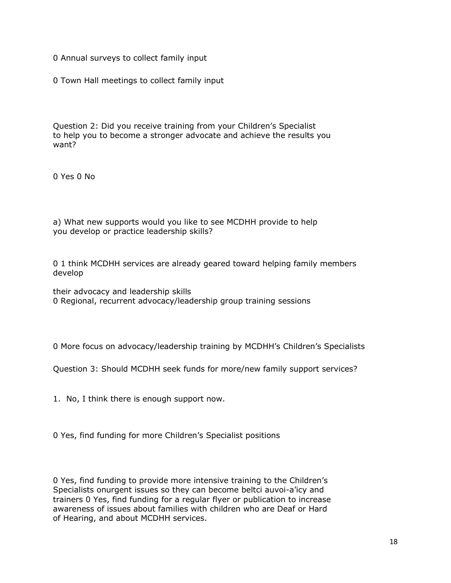0 Annual surveys to collect family input

0 Town Hall meetings to collect family input

Question 2: Did you receive training from your Children's Specialist to help you to become a stronger advocate and achieve the results you want?

0 Yes 0 No

a) What new supports would you like to see MCDHH provide to help you develop or practice leadership skills?

0 1 think MCDHH services are already geared toward helping family members develop

their advocacy and leadership skills 0 Regional, recurrent advocacy/leadership group training sessions

0 More focus on advocacy/leadership training by MCDHH's Children's Specialists

Question 3: Should MCDHH seek funds for more/new family support services?

1. No, I think there is enough support now.

0 Yes, find funding for more Children's Specialist positions

0 Yes, find funding to provide more intensive training to the Children's Specialists onurgent issues so they can become beltci auvoi-a'icy and trainers 0 Yes, find funding for a regular flyer or publication to increase awareness of issues about families with children who are Deaf or Hard of Hearing, and about MCDHH services.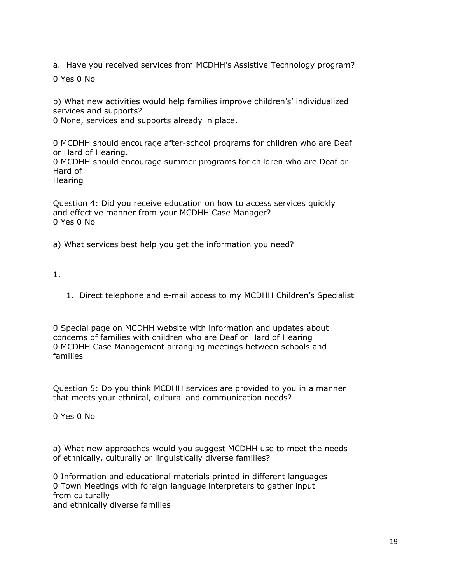a. Have you received services from MCDHH's Assistive Technology program?

0 Yes 0 No

b) What new activities would help families improve children's' individualized services and supports?

0 None, services and supports already in place.

0 MCDHH should encourage after-school programs for children who are Deaf or Hard of Hearing.

0 MCDHH should encourage summer programs for children who are Deaf or Hard of

Hearing

Question 4: Did you receive education on how to access services quickly and effective manner from your MCDHH Case Manager? 0 Yes 0 No

a) What services best help you get the information you need?

1.

1. Direct telephone and e-mail access to my MCDHH Children's Specialist

0 Special page on MCDHH website with information and updates about concerns of families with children who are Deaf or Hard of Hearing 0 MCDHH Case Management arranging meetings between schools and families

Question 5: Do you think MCDHH services are provided to you in a manner that meets your ethnical, cultural and communication needs?

0 Yes 0 No

a) What new approaches would you suggest MCDHH use to meet the needs of ethnically, culturally or linguistically diverse families?

0 Information and educational materials printed in different languages 0 Town Meetings with foreign language interpreters to gather input from culturally and ethnically diverse families